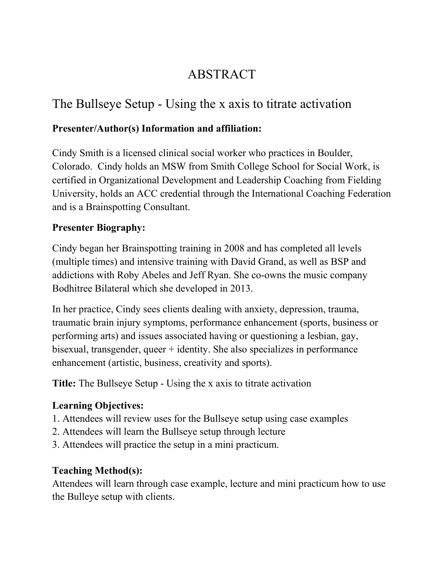# ABSTRACT

# The Bullseye Setup - Using the x axis to titrate activation

# **Presenter/Author(s) Information and affiliation:**

Cindy Smith is a licensed clinical social worker who practices in Boulder, Colorado. Cindy holds an MSW from Smith College School for Social Work, is certified in Organizational Development and Leadership Coaching from Fielding University, holds an ACC credential through the International Coaching Federation and is a Brainspotting Consultant.

### **Presenter Biography:**

Cindy began her Brainspotting training in 2008 and has completed all levels (multiple times) and intensive training with David Grand, as well as BSP and addictions with Roby Abeles and Jeff Ryan. She co-owns the music company Bodhitree Bilateral which she developed in 2013.

In her practice, Cindy sees clients dealing with anxiety, depression, trauma, traumatic brain injury symptoms, performance enhancement (sports, business or performing arts) and issues associated having or questioning a lesbian, gay, bisexual, transgender, queer + identity. She also specializes in performance enhancement (artistic, business, creativity and sports).

**Title:** The Bullseye Setup - Using the x axis to titrate activation

# **Learning Objectives:**

- 1. Attendees will review uses for the Bullseye setup using case examples
- 2. Attendees will learn the Bullseye setup through lecture
- 3. Attendees will practice the setup in a mini practicum.

# **Teaching Method(s):**

Attendees will learn through case example, lecture and mini practicum how to use the Bulleye setup with clients.